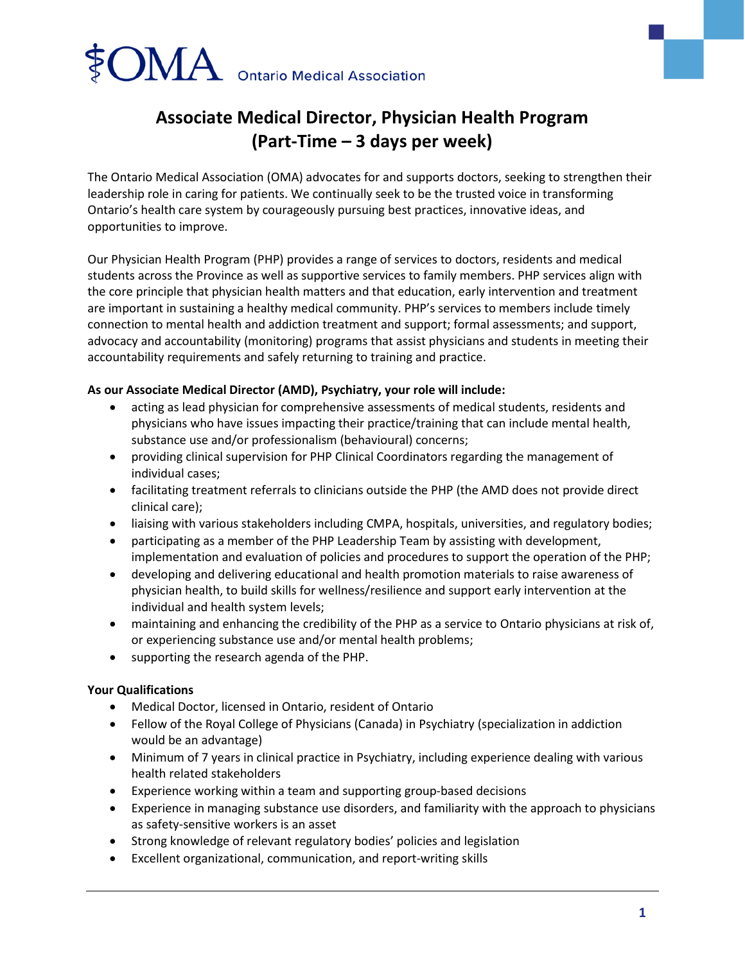

# **Associate Medical Director, Physician Health Program (Part-Time – 3 days per week)**

The Ontario Medical Association (OMA) advocates for and supports doctors, seeking to strengthen their leadership role in caring for patients. We continually seek to be the trusted voice in transforming Ontario's health care system by courageously pursuing best practices, innovative ideas, and opportunities to improve.

Our Physician Health Program (PHP) provides a range of services to doctors, residents and medical students across the Province as well as supportive services to family members. PHP services align with the core principle that physician health matters and that education, early intervention and treatment are important in sustaining a healthy medical community. PHP's services to members include timely connection to mental health and addiction treatment and support; formal assessments; and support, advocacy and accountability (monitoring) programs that assist physicians and students in meeting their accountability requirements and safely returning to training and practice.

## **As our Associate Medical Director (AMD), Psychiatry, your role will include:**

- acting as lead physician for comprehensive assessments of medical students, residents and physicians who have issues impacting their practice/training that can include mental health, substance use and/or professionalism (behavioural) concerns;
- providing clinical supervision for PHP Clinical Coordinators regarding the management of individual cases;
- facilitating treatment referrals to clinicians outside the PHP (the AMD does not provide direct clinical care);
- liaising with various stakeholders including CMPA, hospitals, universities, and regulatory bodies;
- participating as a member of the PHP Leadership Team by assisting with development, implementation and evaluation of policies and procedures to support the operation of the PHP;
- developing and delivering educational and health promotion materials to raise awareness of physician health, to build skills for wellness/resilience and support early intervention at the individual and health system levels;
- maintaining and enhancing the credibility of the PHP as a service to Ontario physicians at risk of, or experiencing substance use and/or mental health problems;
- supporting the research agenda of the PHP.

#### **Your Qualifications**

- Medical Doctor, licensed in Ontario, resident of Ontario
- Fellow of the Royal College of Physicians (Canada) in Psychiatry (specialization in addiction would be an advantage)
- Minimum of 7 years in clinical practice in Psychiatry, including experience dealing with various health related stakeholders
- Experience working within a team and supporting group-based decisions
- Experience in managing substance use disorders, and familiarity with the approach to physicians as safety-sensitive workers is an asset
- Strong knowledge of relevant regulatory bodies' policies and legislation
- Excellent organizational, communication, and report-writing skills